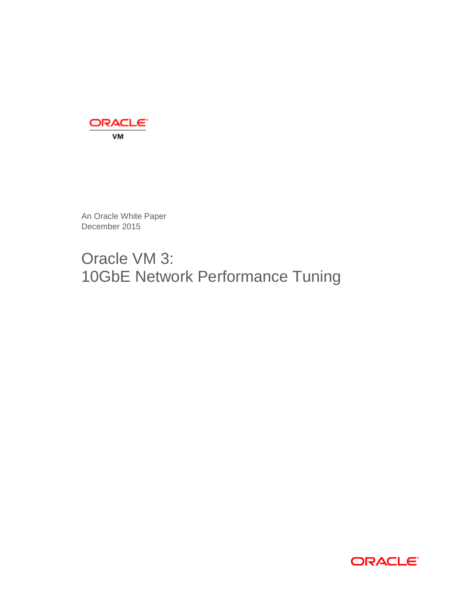

An Oracle White Paper December 2015

# Oracle VM 3: 10GbE Network Performance Tuning

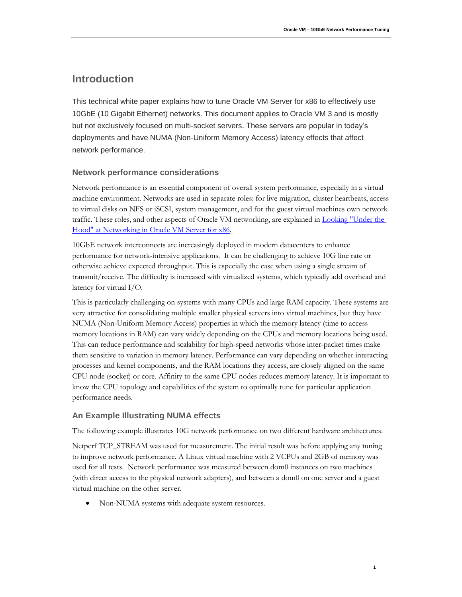# **Introduction**

This technical white paper explains how to tune Oracle VM Server for x86 to effectively use 10GbE (10 Gigabit Ethernet) networks. This document applies to Oracle VM 3 and is mostly but not exclusively focused on multi-socket servers. These servers are popular in today's deployments and have NUMA (Non-Uniform Memory Access) latency effects that affect network performance.

# **Network performance considerations**

Network performance is an essential component of overall system performance, especially in a virtual machine environment. Networks are used in separate roles: for live migration, cluster heartbeats, access to virtual disks on NFS or iSCSI, system management, and for the guest virtual machines own network traffic. These roles, and other aspects of Oracle VM networking, are explained in **Looking "Under the** [Hood" at Networking in Oracle VM Server for x86.](http://www.oracle.com/technetwork/articles/servers-storage-admin/networking-ovm-x86-1873548.html)

10GbE network interconnects are increasingly deployed in modern datacenters to enhance performance for network-intensive applications. It can be challenging to achieve 10G line rate or otherwise achieve expected throughput. This is especially the case when using a single stream of transmit/receive. The difficulty is increased with virtualized systems, which typically add overhead and latency for virtual I/O.

This is particularly challenging on systems with many CPUs and large RAM capacity. These systems are very attractive for consolidating multiple smaller physical servers into virtual machines, but they have NUMA (Non-Uniform Memory Access) properties in which the memory latency (time to access memory locations in RAM) can vary widely depending on the CPUs and memory locations being used. This can reduce performance and scalability for high-speed networks whose inter-packet times make them sensitive to variation in memory latency. Performance can vary depending on whether interacting processes and kernel components, and the RAM locations they access, are closely aligned on the same CPU node (socket) or core. Affinity to the same CPU nodes reduces memory latency. It is important to know the CPU topology and capabilities of the system to optimally tune for particular application performance needs.

# **An Example Illustrating NUMA effects**

The following example illustrates 10G network performance on two different hardware architectures.

Netperf TCP\_STREAM was used for measurement. The initial result was before applying any tuning to improve network performance. A Linux virtual machine with 2 VCPUs and 2GB of memory was used for all tests. Network performance was measured between dom0 instances on two machines (with direct access to the physical network adapters), and between a dom0 on one server and a guest virtual machine on the other server.

Non-NUMA systems with adequate system resources.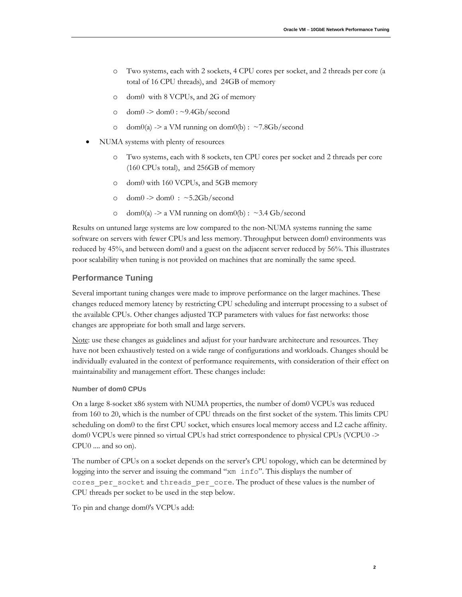- o Two systems, each with 2 sockets, 4 CPU cores per socket, and 2 threads per core (a total of 16 CPU threads), and 24GB of memory
- o dom0 with 8 VCPUs, and 2G of memory
- $\circ$  dom $0$  -> dom $0$  : ~9.4Gb/second
- $\circ$  dom $0(a)$  -> a VM running on dom $0(b)$  : ~7.8Gb/second
- NUMA systems with plenty of resources
	- o Two systems, each with 8 sockets, ten CPU cores per socket and 2 threads per core (160 CPUs total), and 256GB of memory
	- o dom0 with 160 VCPUs, and 5GB memory
	- o dom $0$  -> dom $0$  : ~5.2Gb/second
	- o dom $0(a)$  -> a VM running on dom $0(b)$  : ~3.4 Gb/second

Results on untuned large systems are low compared to the non-NUMA systems running the same software on servers with fewer CPUs and less memory. Throughput between dom0 environments was reduced by 45%, and between dom0 and a guest on the adjacent server reduced by 56%. This illustrates poor scalability when tuning is not provided on machines that are nominally the same speed.

## **Performance Tuning**

Several important tuning changes were made to improve performance on the larger machines. These changes reduced memory latency by restricting CPU scheduling and interrupt processing to a subset of the available CPUs. Other changes adjusted TCP parameters with values for fast networks: those changes are appropriate for both small and large servers.

Note: use these changes as guidelines and adjust for your hardware architecture and resources. They have not been exhaustively tested on a wide range of configurations and workloads. Changes should be individually evaluated in the context of performance requirements, with consideration of their effect on maintainability and management effort. These changes include:

#### **Number of dom0 CPUs**

On a large 8-socket x86 system with NUMA properties, the number of dom0 VCPUs was reduced from 160 to 20, which is the number of CPU threads on the first socket of the system. This limits CPU scheduling on dom0 to the first CPU socket, which ensures local memory access and L2 cache affinity. dom0 VCPUs were pinned so virtual CPUs had strict correspondence to physical CPUs (VCPU0 -> CPU0 .... and so on).

The number of CPUs on a socket depends on the server's CPU topology, which can be determined by logging into the server and issuing the command "xm info". This displays the number of cores per socket and threads per core. The product of these values is the number of CPU threads per socket to be used in the step below.

To pin and change dom0's VCPUs add: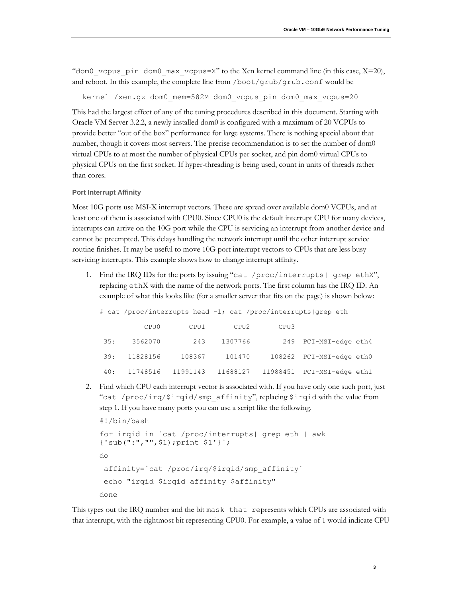"dom0 vcpus pin dom0 max vcpus=X" to the Xen kernel command line (in this case,  $X=20$ ), and reboot. In this example, the complete line from /boot/grub/grub.conf would be

kernel /xen.gz dom0\_mem=582M dom0\_vcpus\_pin dom0\_max\_vcpus=20

This had the largest effect of any of the tuning procedures described in this document. Starting with Oracle VM Server 3.2.2, a newly installed dom0 is configured with a maximum of 20 VCPUs to provide better "out of the box" performance for large systems. There is nothing special about that number, though it covers most servers. The precise recommendation is to set the number of dom0 virtual CPUs to at most the number of physical CPUs per socket, and pin dom0 virtual CPUs to physical CPUs on the first socket. If hyper-threading is being used, count in units of threads rather than cores.

#### **Port Interrupt Affinity**

Most 10G ports use MSI-X interrupt vectors. These are spread over available dom0 VCPUs, and at least one of them is associated with CPU0. Since CPU0 is the default interrupt CPU for many devices, interrupts can arrive on the 10G port while the CPU is servicing an interrupt from another device and cannot be preempted. This delays handling the network interrupt until the other interrupt service routine finishes. It may be useful to move 10G port interrupt vectors to CPUs that are less busy servicing interrupts. This example shows how to change interrupt affinity.

1. Find the IRQ IDs for the ports by issuing "cat /proc/interrupts| grep ethX", replacing ethX with the name of the network ports. The first column has the IRQ ID. An example of what this looks like (for a smaller server that fits on the page) is shown below:

| # cat /proc/interrupts head -1; cat /proc/interrupts grep eth |          |          |          |      |                            |  |
|---------------------------------------------------------------|----------|----------|----------|------|----------------------------|--|
|                                                               | CPU0     | CPU1     | CPU2     | CPU3 |                            |  |
| 35:                                                           | 3562070  | 243      | 1307766  |      | 249 PCI-MSI-edge eth4      |  |
| 39:                                                           | 11828156 | 108367   | 101470   |      | 108262 PCI-MSI-edge eth0   |  |
| 40:                                                           | 11748516 | 11991143 | 11688127 |      | 11988451 PCI-MSI-edge eth1 |  |

2. Find which CPU each interrupt vector is associated with. If you have only one such port, just "cat /proc/irq/\$irqid/smp\_affinity", replacing \$irqid with the value from step 1. If you have many ports you can use a script like the following.

```
#!/bin/bash
for irqid in `cat /proc/interrupts| grep eth | awk
{'sub(":","",$1);print $1'}`;
do
 affinity=`cat /proc/irq/$irqid/smp_affinity`
 echo "irqid $irqid affinity $affinity"
done
```
This types out the IRQ number and the bit mask that represents which CPUs are associated with that interrupt, with the rightmost bit representing CPU0. For example, a value of 1 would indicate CPU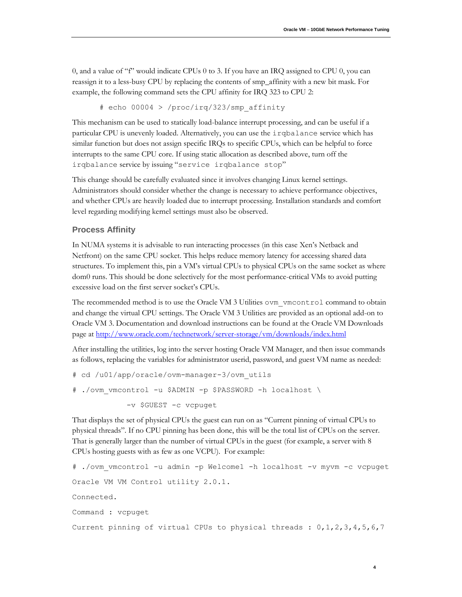**4**

0, and a value of "f" would indicate CPUs 0 to 3. If you have an IRQ assigned to CPU 0, you can reassign it to a less-busy CPU by replacing the contents of smp\_affinity with a new bit mask. For example, the following command sets the CPU affinity for IRQ 323 to CPU 2:

# echo 00004 > /proc/irq/323/smp\_affinity

This mechanism can be used to statically load-balance interrupt processing, and can be useful if a particular CPU is unevenly loaded. Alternatively, you can use the irqbalance service which has similar function but does not assign specific IRQs to specific CPUs, which can be helpful to force interrupts to the same CPU core. If using static allocation as described above, turn off the irqbalance service by issuing "service irqbalance stop"

This change should be carefully evaluated since it involves changing Linux kernel settings. Administrators should consider whether the change is necessary to achieve performance objectives, and whether CPUs are heavily loaded due to interrupt processing. Installation standards and comfort level regarding modifying kernel settings must also be observed.

#### **Process Affinity**

In NUMA systems it is advisable to run interacting processes (in this case Xen's Netback and Netfront) on the same CPU socket. This helps reduce memory latency for accessing shared data structures. To implement this, pin a VM's virtual CPUs to physical CPUs on the same socket as where dom0 runs. This should be done selectively for the most performance-critical VMs to avoid putting excessive load on the first server socket's CPUs.

The recommended method is to use the Oracle VM 3 Utilities ovm\_vmcontrol command to obtain and change the virtual CPU settings. The Oracle VM 3 Utilities are provided as an optional add-on to Oracle VM 3. Documentation and download instructions can be found at the Oracle VM Downloads page at<http://www.oracle.com/technetwork/server-storage/vm/downloads/index.html>

After installing the utilities, log into the server hosting Oracle VM Manager, and then issue commands as follows, replacing the variables for administrator userid, password, and guest VM name as needed:

```
# cd /u01/app/oracle/ovm-manager-3/ovm_utils
# ./ovm_vmcontrol -u $ADMIN -p $PASSWORD -h localhost \
            -v $GUEST -c vcpuget
```
That displays the set of physical CPUs the guest can run on as "Current pinning of virtual CPUs to physical threads". If no CPU pinning has been done, this will be the total list of CPUs on the server. That is generally larger than the number of virtual CPUs in the guest (for example, a server with 8 CPUs hosting guests with as few as one VCPU). For example:

```
# ./ovm_vmcontrol -u admin -p Welcome1 -h localhost -v myvm -c vcpuget
Oracle VM VM Control utility 2.0.1.
Connected.
Command : vcpuget
Current pinning of virtual CPUs to physical threads : 0, 1, 2, 3, 4, 5, 6, 7
```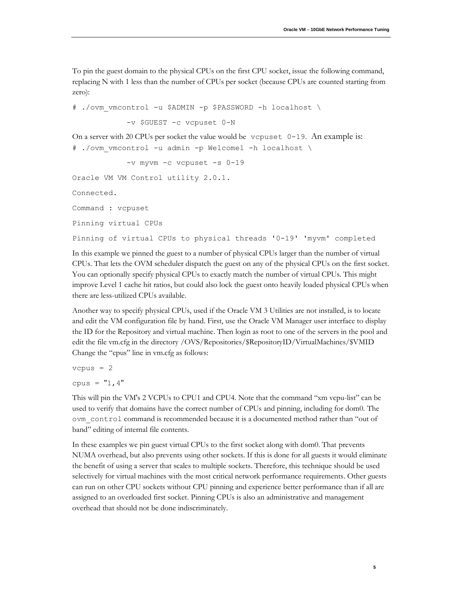To pin the guest domain to the physical CPUs on the first CPU socket, issue the following command, replacing N with 1 less than the number of CPUs per socket (because CPUs are counted starting from zero):

# ./ovm\_vmcontrol -u \$ADMIN -p \$PASSWORD -h localhost \ -v \$GUEST -c vcpuset 0-N On a server with 20 CPUs per socket the value would be vcpuset  $0-19$ . An example is: # ./ovm\_vmcontrol -u admin -p Welcome1 -h localhost \ -v myvm -c vcpuset -s 0-19 Oracle VM VM Control utility 2.0.1. Connected. Command : vcpuset Pinning virtual CPUs Pinning of virtual CPUs to physical threads '0-19' 'myvm' completed

In this example we pinned the guest to a number of physical CPUs larger than the number of virtual CPUs. That lets the OVM scheduler dispatch the guest on any of the physical CPUs on the first socket. You can optionally specify physical CPUs to exactly match the number of virtual CPUs. This might improve Level 1 cache hit ratios, but could also lock the guest onto heavily loaded physical CPUs when there are less-utilized CPUs available.

Another way to specify physical CPUs, used if the Oracle VM 3 Utilities are not installed, is to locate and edit the VM configuration file by hand. First, use the Oracle VM Manager user interface to display the ID for the Repository and virtual machine. Then login as root to one of the servers in the pool and edit the file vm.cfg in the directory /OVS/Repositories/\$RepositoryID/VirtualMachines/\$VMID Change the "cpus" line in vm.cfg as follows:

 $vcpus = 2$ cpus =  $"1, 4"$ 

This will pin the VM's 2 VCPUs to CPU1 and CPU4. Note that the command "xm vcpu-list" can be used to verify that domains have the correct number of CPUs and pinning, including for dom0. The ovm\_control command is recommended because it is a documented method rather than "out of band" editing of internal file contents.

In these examples we pin guest virtual CPUs to the first socket along with dom0. That prevents NUMA overhead, but also prevents using other sockets. If this is done for all guests it would eliminate the benefit of using a server that scales to multiple sockets. Therefore, this technique should be used selectively for virtual machines with the most critical network performance requirements. Other guests can run on other CPU sockets without CPU pinning and experience better performance than if all are assigned to an overloaded first socket. Pinning CPUs is also an administrative and management overhead that should not be done indiscriminately.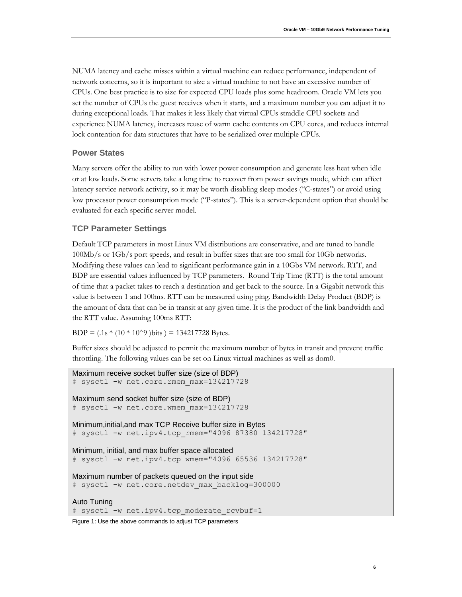NUMA latency and cache misses within a virtual machine can reduce performance, independent of network concerns, so it is important to size a virtual machine to not have an excessive number of CPUs. One best practice is to size for expected CPU loads plus some headroom. Oracle VM lets you set the number of CPUs the guest receives when it starts, and a maximum number you can adjust it to during exceptional loads. That makes it less likely that virtual CPUs straddle CPU sockets and experience NUMA latency, increases reuse of warm cache contents on CPU cores, and reduces internal lock contention for data structures that have to be serialized over multiple CPUs.

#### **Power States**

Many servers offer the ability to run with lower power consumption and generate less heat when idle or at low loads. Some servers take a long time to recover from power savings mode, which can affect latency service network activity, so it may be worth disabling sleep modes ("C-states") or avoid using low processor power consumption mode ("P-states"). This is a server-dependent option that should be evaluated for each specific server model.

### **TCP Parameter Settings**

Default TCP parameters in most Linux VM distributions are conservative, and are tuned to handle 100Mb/s or 1Gb/s port speeds, and result in buffer sizes that are too small for 10Gb networks. Modifying these values can lead to significant performance gain in a 10Gbs VM network. RTT, and BDP are essential values influenced by TCP parameters. Round Trip Time (RTT) is the total amount of time that a packet takes to reach a destination and get back to the source. In a Gigabit network this value is between 1 and 100ms. RTT can be measured using ping. Bandwidth Delay Product (BDP) is the amount of data that can be in transit at any given time. It is the product of the link bandwidth and the RTT value. Assuming 100ms RTT:

BDP =  $(.1s * (10 * 10^9)$  bits  $) = 134217728$  Bytes.

Buffer sizes should be adjusted to permit the maximum number of bytes in transit and prevent traffic throttling. The following values can be set on Linux virtual machines as well as dom0.

```
Maximum receive socket buffer size (size of BDP)
# sysctl -w net.core.rmem max=134217728
Maximum send socket buffer size (size of BDP)
# sysctl -w net.core.wmem_max=134217728
Minimum,initial,and max TCP Receive buffer size in Bytes
# sysctl -w net.ipv4.tcp_rmem="4096 87380 134217728"
Minimum, initial, and max buffer space allocated
# sysctl -w net.ipv4.tcp_wmem="4096 65536 134217728"
Maximum number of packets queued on the input side
# sysctl -w net.core.netdev max backlog=300000
```
Auto Tuning # sysctl -w net.ipv4.tcp moderate rcvbuf=1

Figure 1: Use the above commands to adjust TCP parameters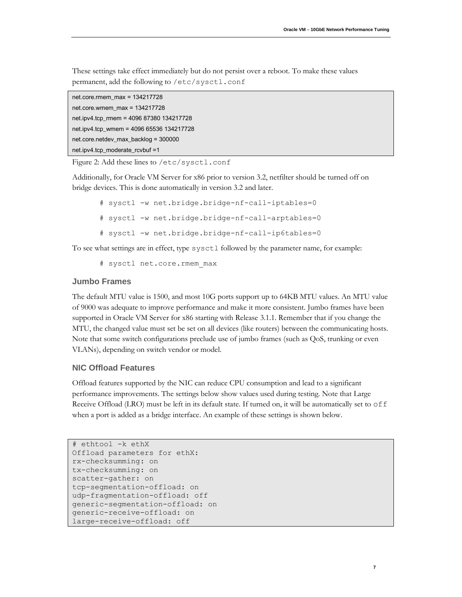These settings take effect immediately but do not persist over a reboot. To make these values permanent, add the following to /etc/sysctl.conf

```
net.core.rmem_max = 134217728
net.core.wmem_max = 134217728
net.ipv4.tcp_rmem = 4096 87380 134217728
net.ipv4.tcp_wmem = 4096 65536 134217728
net.core.netdev_max_backlog = 300000
net.ipv4.tcp_moderate_rcvbuf =1
```
Figure 2: Add these lines to /etc/sysctl.conf

Additionally, for Oracle VM Server for x86 prior to version 3.2, netfilter should be turned off on bridge devices. This is done automatically in version 3.2 and later.

- # sysctl -w net.bridge.bridge-nf-call-iptables=0
- # sysctl -w net.bridge.bridge-nf-call-arptables=0
- # sysctl -w net.bridge.bridge-nf-call-ip6tables=0

To see what settings are in effect, type sysctl followed by the parameter name, for example:

# sysctl net.core.rmem max

#### **Jumbo Frames**

The default MTU value is 1500, and most 10G ports support up to 64KB MTU values. An MTU value of 9000 was adequate to improve performance and make it more consistent. Jumbo frames have been supported in Oracle VM Server for x86 starting with Release 3.1.1. Remember that if you change the MTU, the changed value must set be set on all devices (like routers) between the communicating hosts. Note that some switch configurations preclude use of jumbo frames (such as QoS, trunking or even VLANs), depending on switch vendor or model.

#### **NIC Offload Features**

Offload features supported by the NIC can reduce CPU consumption and lead to a significant performance improvements. The settings below show values used during testing. Note that Large Receive Offload (LRO) must be left in its default state. If turned on, it will be automatically set to  $\circ$  ff when a port is added as a bridge interface. An example of these settings is shown below.

```
# ethtool -k ethX
Offload parameters for ethX:
rx-checksumming: on
tx-checksumming: on
scatter-gather: on
tcp-segmentation-offload: on
udp-fragmentation-offload: off
generic-segmentation-offload: on
generic-receive-offload: on
large-receive-offload: off
```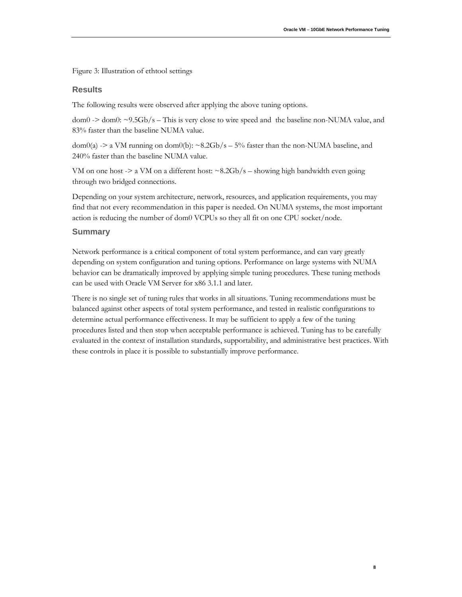**8**

Figure 3: Illustration of ethtool settings

#### **Results**

The following results were observed after applying the above tuning options.

 $dom0 \rightarrow dom0$ :  $\sim$ 9.5Gb/s – This is very close to wire speed and the baseline non-NUMA value, and 83% faster than the baseline NUMA value.

 $dom(0a)$  -> a VM running on  $dom(0b)$ : ~8.2Gb/s – 5% faster than the non-NUMA baseline, and 240% faster than the baseline NUMA value.

VM on one host  $\geq$  a VM on a different host:  $\sim$  8.2Gb/s – showing high bandwidth even going through two bridged connections.

Depending on your system architecture, network, resources, and application requirements, you may find that not every recommendation in this paper is needed. On NUMA systems, the most important action is reducing the number of dom0 VCPUs so they all fit on one CPU socket/node.

#### **Summary**

Network performance is a critical component of total system performance, and can vary greatly depending on system configuration and tuning options. Performance on large systems with NUMA behavior can be dramatically improved by applying simple tuning procedures. These tuning methods can be used with Oracle VM Server for x86 3.1.1 and later.

There is no single set of tuning rules that works in all situations. Tuning recommendations must be balanced against other aspects of total system performance, and tested in realistic configurations to determine actual performance effectiveness. It may be sufficient to apply a few of the tuning procedures listed and then stop when acceptable performance is achieved. Tuning has to be carefully evaluated in the context of installation standards, supportability, and administrative best practices. With these controls in place it is possible to substantially improve performance.